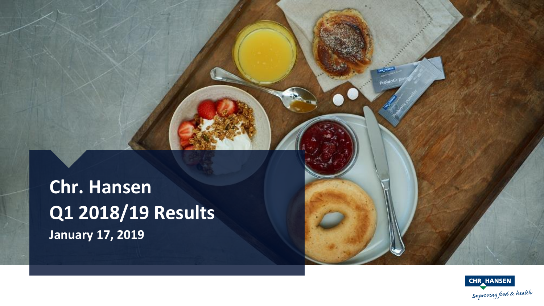**Chr. Hansen Q1 2018/19 Results January 17, 2019**

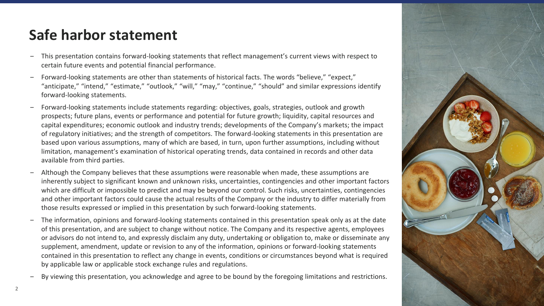## **Safe harbor statement**

- ‒ This presentation contains forward-looking statements that reflect management's current views with respect to certain future events and potential financial performance.
- ‒ Forward-looking statements are other than statements of historical facts. The words "believe," "expect," "anticipate," "intend," "estimate," "outlook," "will," "may," "continue," "should" and similar expressions identify forward-looking statements.
- ‒ Forward-looking statements include statements regarding: objectives, goals, strategies, outlook and growth prospects; future plans, events or performance and potential for future growth; liquidity, capital resources and capital expenditures; economic outlook and industry trends; developments of the Company's markets; the impact of regulatory initiatives; and the strength of competitors. The forward-looking statements in this presentation are based upon various assumptions, many of which are based, in turn, upon further assumptions, including without limitation, management's examination of historical operating trends, data contained in records and other data available from third parties.
- Although the Company believes that these assumptions were reasonable when made, these assumptions are inherently subject to significant known and unknown risks, uncertainties, contingencies and other important factors which are difficult or impossible to predict and may be beyond our control. Such risks, uncertainties, contingencies and other important factors could cause the actual results of the Company or the industry to differ materially from those results expressed or implied in this presentation by such forward-looking statements.
- ‒ The information, opinions and forward-looking statements contained in this presentation speak only as at the date of this presentation, and are subject to change without notice. The Company and its respective agents, employees or advisors do not intend to, and expressly disclaim any duty, undertaking or obligation to, make or disseminate any supplement, amendment, update or revision to any of the information, opinions or forward-looking statements contained in this presentation to reflect any change in events, conditions or circumstances beyond what is required by applicable law or applicable stock exchange rules and regulations.
- ‒ By viewing this presentation, you acknowledge and agree to be bound by the foregoing limitations and restrictions.

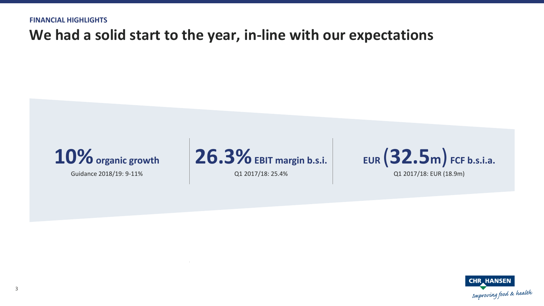## **We had a solid start to the year, in-line with our expectations**



Guidance 2018/19: 9-11%



Q1 2017/18: 25.4%



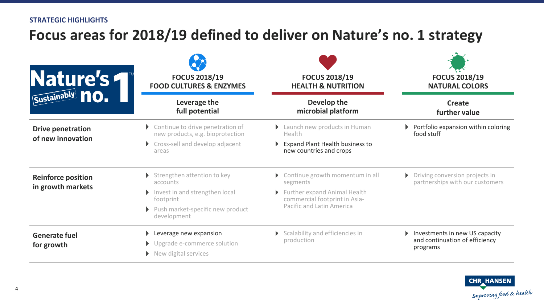### **STRATEGIC HIGHLIGHTS**

## **Focus areas for 2018/19 defined to deliver on Nature's no. 1 strategy**

| Nature's                                       | <b>FOCUS 2018/19</b><br><b>FOOD CULTURES &amp; ENZYMES</b>                      | <b>FOCUS 2018/19</b><br><b>HEALTH &amp; NUTRITION</b>         | <b>FOCUS 2018/19</b><br><b>NATURAL COLORS</b>                                |  |
|------------------------------------------------|---------------------------------------------------------------------------------|---------------------------------------------------------------|------------------------------------------------------------------------------|--|
|                                                | Leverage the<br>full potential                                                  | Develop the<br>microbial platform                             | <b>Create</b><br>further value                                               |  |
| <b>Drive penetration</b><br>of new innovation  | Continue to drive penetration of<br>new products, e.g. bioprotection            | Launch new products in Human<br>Health                        | Portfolio expansion within coloring<br>food stuff                            |  |
|                                                | Cross-sell and develop adjacent<br>areas                                        | Expand Plant Health business to<br>new countries and crops    |                                                                              |  |
| <b>Reinforce position</b><br>in growth markets | Strengthen attention to key<br>accounts                                         | Continue growth momentum in all<br>segments                   | Driving conversion projects in<br>Þ.<br>partnerships with our customers      |  |
|                                                | Invest in and strengthen local<br>footprint                                     | Further expand Animal Health<br>commercial footprint in Asia- |                                                                              |  |
|                                                | ▶ Push market-specific new product<br>development                               | <b>Pacific and Latin America</b>                              |                                                                              |  |
| <b>Generate fuel</b><br>for growth             | Leverage new expansion<br>▶ Upgrade e-commerce solution<br>New digital services | Scalability and efficiencies in<br>production                 | Investments in new US capacity<br>and continuation of efficiency<br>programs |  |

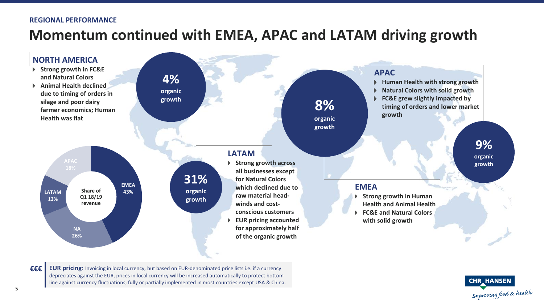### **REGIONAL PERFORMANCE**

### **Momentum continued with EMEA, APAC and LATAM driving growth**



**€€€ EUR pricing**: Invoicing in local currency, but based on EUR-denominated price lists i.e. if a currency depreciates against the EUR, prices in local currency will be increased automatically to protect bottom line against currency fluctuations; fully or partially implemented in most countries except USA & China.

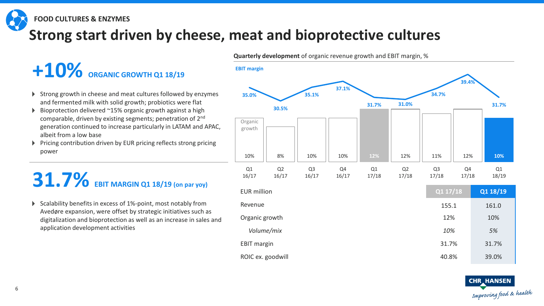**FOOD CULTURES & ENZYMES**

## **Strong start driven by cheese, meat and bioprotective cultures**

# **+10% ORGANIC GROWTH Q1 18/19**

- Strong growth in cheese and meat cultures followed by enzymes and fermented milk with solid growth; probiotics were flat
- $\triangleright$  Bioprotection delivered  $\sim$ 15% organic growth against a high comparable, driven by existing segments; penetration of 2nd generation continued to increase particularly in LATAM and APAC, albeit from a low base
- $\triangleright$  Pricing contribution driven by EUR pricing reflects strong pricing power

# **31.7% EBIT MARGIN Q1 18/19 (on par yoy)**

 $\triangleright$  Scalability benefits in excess of 1%-point, most notably from Avedøre expansion, were offset by strategic initiatives such as digitalization and bioprotection as well as an increase in sales and application development activities

10% 8% 10% 10% **12%** 12% 11% 12% **10% 35.0% 30.5% 35.1% 37.1% 31.7% 31.0% 34.7% 39.4% 31.7%** Q1 16/17 Q2 16/17 Q3 16/17 Q4 16/17 Q1 17/18 Q2 17/18 Q3 17/18 Q4 17/18 Q1 18/19 **EBIT margin** EUR million **Q1 17/18 Q1 18/19** Revenue 155.1 161.0 Organic growth 12% 10% *Volume/mix 10% 5%* EBIT margin 31.7% 31.7% 31.7% ROIC ex. goodwill and the set of the set of the set of the set of the set of the set of the set of the set of the set of the set of the set of the set of the set of the set of the set of the set of the set of the set of th Organic growth

**Quarterly development** of organic revenue growth and EBIT margin, %

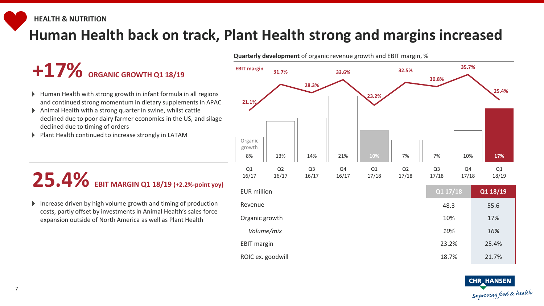## **Human Health back on track, Plant Health strong and margins increased**

# $+17\%$  **ORGANIC GROWTH 01 18/19**

- Human Health with strong growth in infant formula in all regions and continued strong momentum in dietary supplements in APAC
- Animal Health with a strong quarter in swine, whilst cattle declined due to poor dairy farmer economics in the US, and silage declined due to timing of orders
- Plant Health continued to increase strongly in LATAM

## **25.4% EBIT MARGIN Q1 18/19 (+2.2%-point yoy)**

Increase driven by high volume growth and timing of production costs, partly offset by investments in Animal Health's sales force expansion outside of North America as well as Plant Health



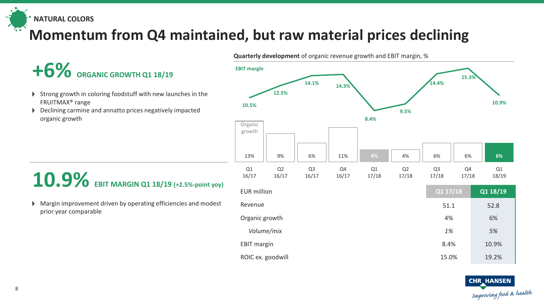**NATURAL COLORS**

## **Momentum from Q4 maintained, but raw material prices declining**

# $+6\%$  **ORGANIC GROWTH Q1 18/19**

- Strong growth in coloring foodstuff with new launches in the FRUITMAX® range
- Declining carmine and annatto prices negatively impacted organic growth

## **10.9% EBIT MARGIN Q1 18/19 (+2.5%-point yoy)**

Margin improvement driven by operating efficiencies and modest prior year comparable



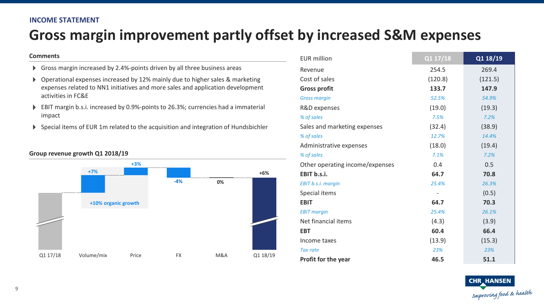### **INCOME STATEMENT**

## **Gross margin improvement partly offset by increased S&M expenses**

#### **Comments**

- Gross margin increased by 2.4%-points driven by all three business areas
- Operational expenses increased by 12% mainly due to higher sales & marketing expenses related to NN1 initiatives and more sales and application development activities in FC&E
- EBIT margin b.s.i. increased by 0.9%-points to 26.3%; currencies had a immaterial impact
- Special items of EUR 1m related to the acquisition and integration of Hundsbichler



### **Group revenue growth Q1 2018/19**

| <b>EUR</b> million              | Q1 17/18 | Q1 18/19 |  |
|---------------------------------|----------|----------|--|
| Revenue                         | 254.5    | 269.4    |  |
| Cost of sales                   | (120.8)  | (121.5)  |  |
| <b>Gross profit</b>             | 133.7    | 147.9    |  |
| <b>Gross margin</b>             | 52.5%    | 54.9%    |  |
| R&D expenses                    | (19.0)   | (19.3)   |  |
| % of sales                      | 7.5%     | 7.2%     |  |
| Sales and marketing expenses    | (32.4)   | (38.9)   |  |
| % of sales                      | 12.7%    | 14.4%    |  |
| Administrative expenses         | (18.0)   | (19.4)   |  |
| % of sales                      | 7.1%     | 7.2%     |  |
| Other operating income/expenses | 0.4      | 0.5      |  |
| EBIT b.s.i.                     | 64.7     | 70.8     |  |
| EBIT b.s.i. margin              | 25.4%    | 26.3%    |  |
| Special items                   |          | (0.5)    |  |
| <b>EBIT</b>                     | 64.7     | 70.3     |  |
| <b>EBIT margin</b>              | 25.4%    | 26.1%    |  |
| Net financial items             | (4.3)    | (3.9)    |  |
| <b>EBT</b>                      | 60.4     | 66.4     |  |
| Income taxes                    | (13.9)   | (15.3)   |  |
| <b>Tax rate</b>                 | 23%      | 23%      |  |
| Profit for the year             | 46.5     | 51.1     |  |

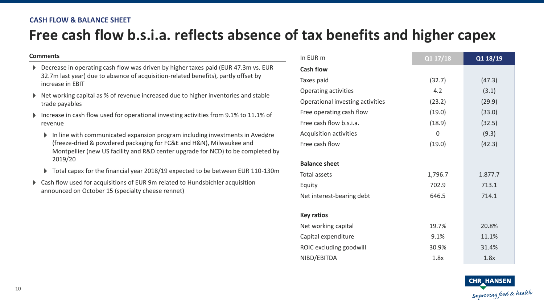### **CASH FLOW & BALANCE SHEET**

## **Free cash flow b.s.i.a. reflects absence of tax benefits and higher capex**

#### **Comments**

- Decrease in operating cash flow was driven by higher taxes paid (EUR 47.3m vs. EUR 32.7m last year) due to absence of acquisition-related benefits), partly offset by increase in EBIT
- Net working capital as % of revenue increased due to higher inventories and stable trade payables
- Increase in cash flow used for operational investing activities from 9.1% to 11.1% of revenue
	- In line with communicated expansion program including investments in Avedøre (freeze-dried & powdered packaging for FC&E and H&N), Milwaukee and Montpellier (new US facility and R&D center upgrade for NCD) to be completed by 2019/20
	- ▶ Total capex for the financial year 2018/19 expected to be between EUR 110-130m
- Cash flow used for acquisitions of EUR 9m related to Hundsbichler acquisition announced on October 15 (specialty cheese rennet)

| In EUR m                         | Q1 17/18 | Q1 18/19 |
|----------------------------------|----------|----------|
| <b>Cash flow</b>                 |          |          |
| Taxes paid                       | (32.7)   | (47.3)   |
| Operating activities             | 4.2      | (3.1)    |
| Operational investing activities | (23.2)   | (29.9)   |
| Free operating cash flow         | (19.0)   | (33.0)   |
| Free cash flow b.s.i.a.          | (18.9)   | (32.5)   |
| Acquisition activities           | 0        | (9.3)    |
| Free cash flow                   | (19.0)   | (42.3)   |
|                                  |          |          |
| <b>Balance sheet</b>             |          |          |
| Total assets                     | 1,796.7  | 1.877.7  |
| Equity                           | 702.9    | 713.1    |
| Net interest-bearing debt        | 646.5    | 714.1    |
|                                  |          |          |
| <b>Key ratios</b>                |          |          |
| Net working capital              | 19.7%    | 20.8%    |
| Capital expenditure              | 9.1%     | 11.1%    |
| ROIC excluding goodwill          | 30.9%    | 31.4%    |
| NIBD/EBITDA                      | 1.8x     | 1.8x     |

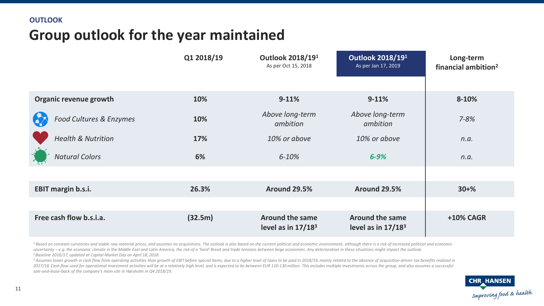## **Group outlook for the year maintained**

|                               | Q1 2018/19 | Outlook 2018/191<br>As per Oct 15, 2018                  | Outlook 2018/191<br>As per Jan 17, 2019        | Long-term<br>financial ambition <sup>2</sup> |
|-------------------------------|------------|----------------------------------------------------------|------------------------------------------------|----------------------------------------------|
| Organic revenue growth        | 10%        | $9 - 11%$                                                | $9-11%$                                        | 8-10%                                        |
| Food Cultures & Enzymes       | 10%        | Above long-term<br>ambition                              | Above long-term<br>ambition                    | $7 - 8%$                                     |
| <b>Health &amp; Nutrition</b> | 17%        | 10% or above                                             | 10% or above                                   | n.a.                                         |
| <b>Natural Colors</b>         | 6%         | $6 - 10%$                                                | $6 - 9%$                                       | n.a.                                         |
|                               |            |                                                          |                                                |                                              |
| <b>EBIT margin b.s.i.</b>     | 26.3%      | <b>Around 29.5%</b>                                      | <b>Around 29.5%</b>                            | $30 + \%$                                    |
|                               |            |                                                          |                                                |                                              |
| Free cash flow b.s.i.a.       | (32.5m)    | <b>Around the same</b><br>level as in 17/18 <sup>3</sup> | <b>Around the same</b><br>level as in $17/183$ | <b>+10% CAGR</b>                             |

<sup>1</sup> Based on constant currencies and stable raw material prices, and assumes no acquisitions. The outlook is also based on the current political and economic environment, although there is a risk of increased political and uncertainty - e.g. the economic climate in the Middle East and Latin America, the risk of a 'hard' Brexit and trade tensions between large economies. Any deterioration in these situations might impact the outlook. *<sup>2</sup>Baseline 2016/17, updated at Capital Market Day on April 18, 2018.*

<sup>3</sup> Assumes lower growth in cash flow from operating activities than growth of EBIT before special items, due to a higher level of taxes to be paid in 2018/19, mainly related to the absence of acquisition-driven tax benefi 2017/18. Cash flow used for operational investment activities will be at a relatively high level, and is expected to be between EUR 110-130 million. This includes multiple investments across the group, and also assumes a s *sale-and-lease-back of the company's main site in Hørsholm in Q4 2018/19.*

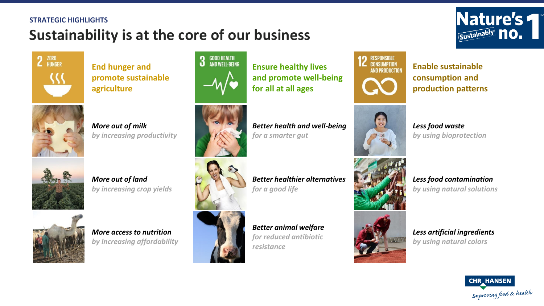### **STRATEGIC HIGHLIGHTS**

## **Sustainability is at the core of our business**



**End hunger and promote sustainable agriculture**



*More out of milk by increasing productivity*



*More out of land by increasing crop yields*



*More access to nutrition by increasing affordability*



**Ensure healthy lives and promote well-being for all at all ages**



*Better health and well-being for a smarter gut*



*Better healthier alternatives for a good life*

*Better animal welfare for reduced antibiotic resistance*



**Enable sustainable consumption and production patterns**

**Nature's** 

Sustainably **no.** 





*Less food waste by using bioprotection*

*Less food contamination by using natural solutions*

*Less artificial ingredients by using natural colors*